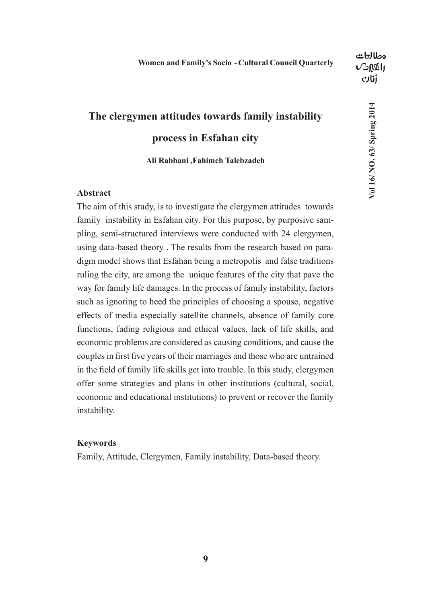## **The clergymen attitudes towards family instability process in Esfahan city**

**Ali Rabbani ,Fahimeh Talebzadeh**

#### **Abstract**

The aim of this study, is to investigate the clergymen attitudes towards family instability in Esfahan city. For this purpose, by purposive sampling, semi-structured interviews were conducted with 24 clergymen, using data-based theory . The results from the research based on paradigm model shows that Esfahan being a metropolis and false traditions ruling the city, are among the unique features of the city that pave the way for family life damages. In the process of family instability, factors such as ignoring to heed the principles of choosing a spouse, negative effects of media especially satellite channels, absence of family core functions, fading religious and ethical values, lack of life skills, and economic problems are considered as causing conditions, and cause the couples in first five years of their marriages and those who are untrained in the field of family life skills get into trouble. In this study, clergymen offer some strategies and plans in other institutions (cultural, social, economic and educational institutions) to prevent or recover the family instability.

#### **Keywords**

Family, Attitude, Clergymen, Family instability, Data-based theory.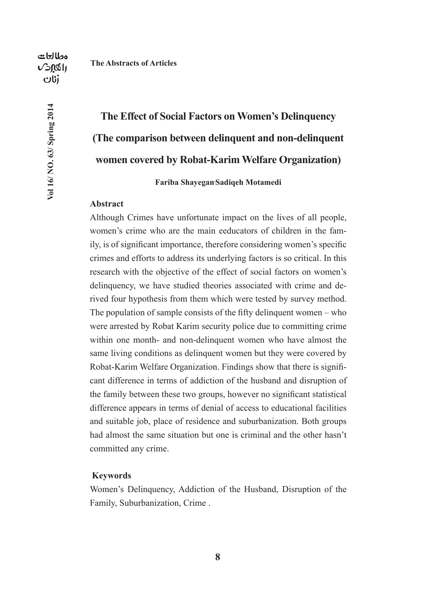**The Abstracts of Articles**

مطالعات  $\sqrt{2}$  $0$ s $1$ dti

**Vol 16/ NO. 63/ Spring 2014**

Vol 16/ NO. 63/ Spring 2014

## **The Effect of Social Factors on Women's Delinquency (The comparison between delinquent and non-delinquent women covered by Robat-Karim Welfare Organization)**

**Fariba Shayegan, Sadiqeh Motamedi**

#### **Abstract**

Although Crimes have unfortunate impact on the lives of all people, women's crime who are the main eeducators of children in the family, is of significant importance, therefore considering women's specific crimes and efforts to address its underlying factors is so critical. In this research with the objective of the effect of social factors on women's delinquency, we have studied theories associated with crime and derived four hypothesis from them which were tested by survey method. The population of sample consists of the fifty delinquent women – who were arrested by Robat Karim security police due to committing crime within one month- and non-delinquent women who have almost the same living conditions as delinquent women but they were covered by Robat-Karim Welfare Organization. Findings show that there is significant difference in terms of addiction of the husband and disruption of the family between these two groups, however no significant statistical difference appears in terms of denial of access to educational facilities and suitable job, place of residence and suburbanization. Both groups had almost the same situation but one is criminal and the other hasn't committed any crime.

#### **Keywords**

Women's Delinquency, Addiction of the Husband, Disruption of the Family, Suburbanization, Crime .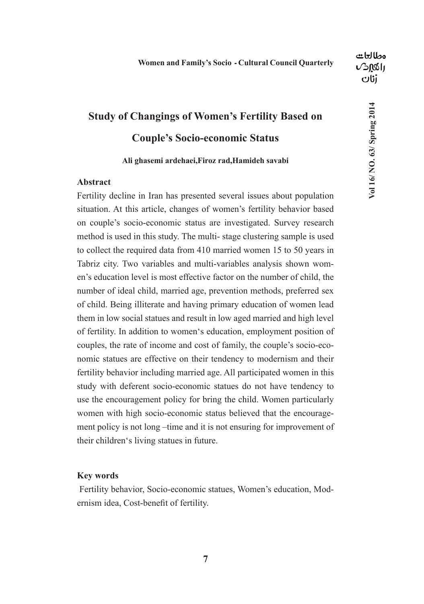**Vol 16/ NO. 63/ Spring 2014**

Vol 16/ NO. 63/ Spring 2014

## **Study of Changings of Women's Fertility Based on Couple's Socio-economic Status**

#### **Ali ghasemi ardehaei,Firoz rad,Hamideh savabi**

#### **Abstract**

Fertility decline in Iran has presented several issues about population situation. At this article, changes of women's fertility behavior based on couple's socio-economic status are investigated. Survey research method is used in this study. The multi- stage clustering sample is used to collect the required data from 410 married women 15 to 50 years in Tabriz city. Two variables and multi-variables analysis shown women's education level is most effective factor on the number of child, the number of ideal child, married age, prevention methods, preferred sex of child. Being illiterate and having primary education of women lead them in low social statues and result in low aged married and high level of fertility. In addition to women's education, employment position of couples, the rate of income and cost of family, the couple's socio-economic statues are effective on their tendency to modernism and their fertility behavior including married age. All participated women in this study with deferent socio-economic statues do not have tendency to use the encouragement policy for bring the child. Women particularly women with high socio-economic status believed that the encouragement policy is not long –time and it is not ensuring for improvement of their children's living statues in future.

#### **Key words**

 Fertility behavior, Socio-economic statues, Women's education, Modernism idea, Cost-benefit of fertility.

**7**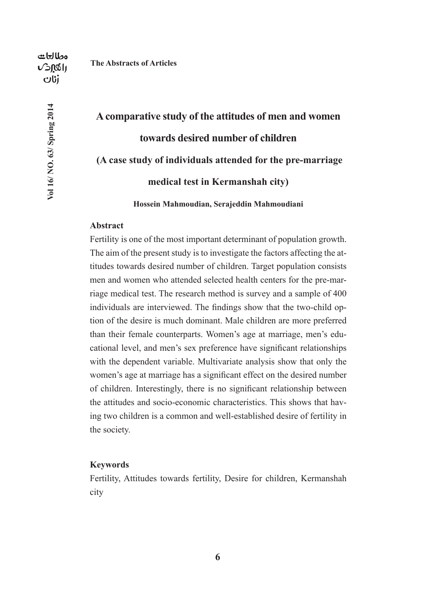**Vol 16/ NO. 63/ Spring 2014**

Vol 16/ NO. 63/ Spring 2014

# **A comparative study of the attitudes of men and women towards desired number of children (A case study of individuals attended for the pre-marriage medical test in Kermanshah city)**

**Hossein Mahmoudian, Serajeddin Mahmoudiani**

#### **Abstract**

Fertility is one of the most important determinant of population growth. The aim of the present study is to investigate the factors affecting the attitudes towards desired number of children. Target population consists men and women who attended selected health centers for the pre-marriage medical test. The research method is survey and a sample of 400 individuals are interviewed. The findings show that the two-child option of the desire is much dominant. Male children are more preferred than their female counterparts. Women's age at marriage, men's educational level, and men's sex preference have significant relationships with the dependent variable. Multivariate analysis show that only the women's age at marriage has a significant effect on the desired number of children. Interestingly, there is no significant relationship between the attitudes and socio-economic characteristics. This shows that having two children is a common and well-established desire of fertility in the society.

#### **Keywords**

Fertility, Attitudes towards fertility, Desire for children, Kermanshah city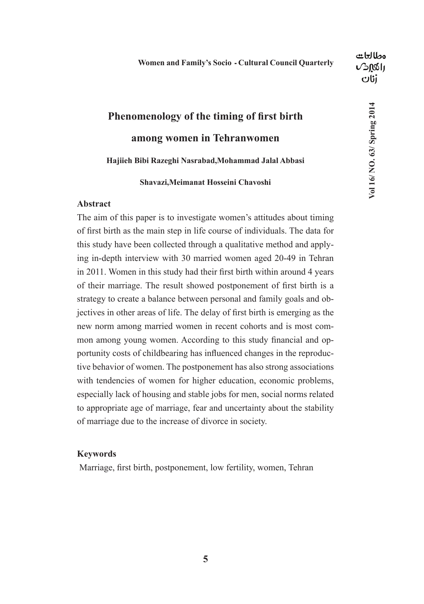## **Phenomenology of the timing of first birth among women in Tehranwomen Hajiieh Bibi Razeghi Nasrabad,Mohammad Jalal Abbasi**

## **Shavazi,Meimanat Hosseini Chavoshi**

#### **Abstract**

The aim of this paper is to investigate women's attitudes about timing of first birth as the main step in life course of individuals. The data for this study have been collected through a qualitative method and applying in-depth interview with 30 married women aged 20-49 in Tehran in 2011. Women in this study had their first birth within around 4 years of their marriage. The result showed postponement of first birth is a strategy to create a balance between personal and family goals and objectives in other areas of life. The delay of first birth is emerging as the new norm among married women in recent cohorts and is most common among young women. According to this study financial and opportunity costs of childbearing has influenced changes in the reproductive behavior of women. The postponement has also strong associations with tendencies of women for higher education, economic problems, especially lack of housing and stable jobs for men, social norms related to appropriate age of marriage, fear and uncertainty about the stability of marriage due to the increase of divorce in society.

#### **Keywords**

Marriage, first birth, postponement, low fertility, women, Tehran

**Vol 16/ NO. 63/ Spring 2014**

Vol 16/ NO. 63/ Spring 2014